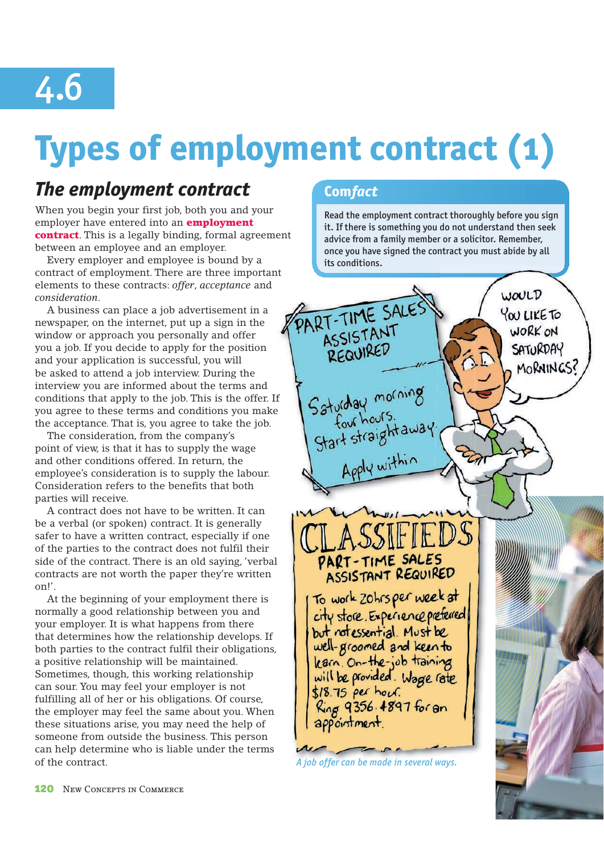

# **Types of employment contract (1)**

## *The employment contract*

When you begin your first job, both you and your employer have entered into an **employment** contract. This is a legally binding, formal agreement between an employee and an employer.

Every employer and employee is bound by a contract of employment. There are three important elements to these contracts: *offer*, *acceptance* and *consideration*.

A business can place a job advertisement in a newspaper, on the internet, put up a sign in the window or approach you personally and offer you a job. If you decide to apply for the position and your application is successful, you will be asked to attend a job interview. During the interview you are informed about the terms and conditions that apply to the job. This is the offer. If you agree to these terms and conditions you make the acceptance. That is, you agree to take the job.

The consideration, from the company's point of view, is that it has to supply the wage and other conditions offered. In return, the employee's consideration is to supply the labour. Consideration refers to the benefits that both parties will receive.

A contract does not have to be written. It can be a verbal (or spoken) contract. It is generally safer to have a written contract, especially if one of the parties to the contract does not fulfil their side of the contract. There is an old saying, 'verbal contracts are not worth the paper they're written on!'.

At the beginning of your employment there is normally a good relationship between you and your employer. It is what happens from there that determines how the relationship develops. If both parties to the contract fulfil their obligations, a positive relationship will be maintained. Sometimes, though, this working relationship can sour. You may feel your employer is not fulfilling all of her or his obligations. Of course, the employer may feel the same about you. When these situations arise, you may need the help of someone from outside the business. This person can help determine who is liable under the terms of the contract. *A job offer can be made in several ways.*

## **Com** *fact*

Read the employment contract thoroughly before you sign it. If there is something you do not understand then seek advice from a family member or a solicitor. Remember, once you have signed the contract you must abide by all its conditions.

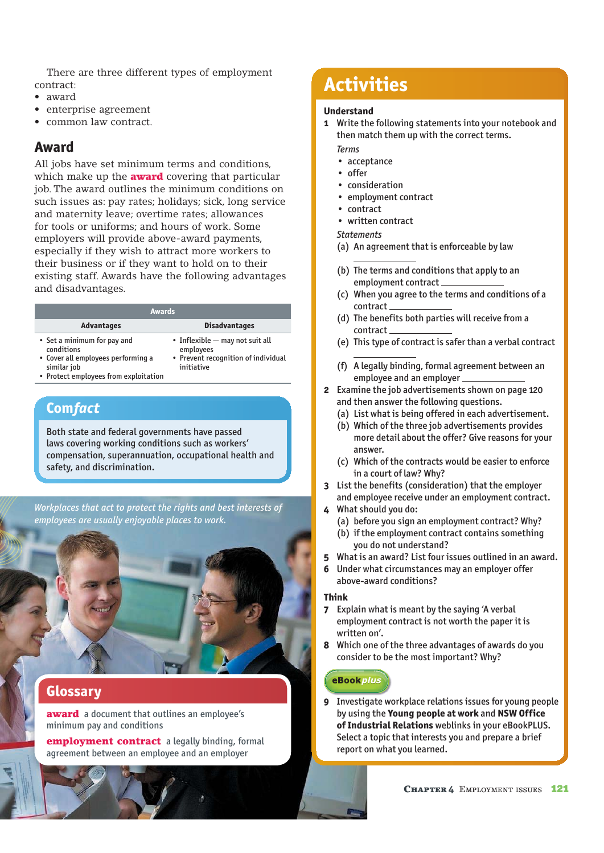There are three different types of employment contract:

- award
- enterprise agreement
- common law contract.

## **Award**

All jobs have set minimum terms and conditions, which make up the **award** covering that particular job. The award outlines the minimum conditions on such issues as: pay rates; holidays; sick, long service and maternity leave; overtime rates; allowances for tools or uniforms; and hours of work. Some employers will provide above-award payments, especially if they wish to attract more workers to their business or if they want to hold on to their existing staff. Awards have the following advantages and disadvantages.

| <b>Awards</b>                                                                                                                                       |                                                                                                   |  |
|-----------------------------------------------------------------------------------------------------------------------------------------------------|---------------------------------------------------------------------------------------------------|--|
| <b>Advantages</b>                                                                                                                                   | <b>Disadvantages</b>                                                                              |  |
| • Set a minimum for pay and<br>conditions<br>• Cover all employees performing a<br>similar job<br>a - Duata at annul arra a a fuana armi a tasta an | • Inflexible - may not suit all<br>employees<br>• Prevent recognition of individual<br>initiative |  |

• Protect employees from exploitation

## **Com** *fact*

Both state and federal governments have passed laws covering working conditions such as workers' compensation, superannuation, occupational health and safety, and discrimination.

*Workplaces that act to protect the rights and best interests of employees are usually enjoyable places to work.*



## **Glossary**

award a document that outlines an employee's minimum pay and conditions

employment contract a legally binding, formal agreement between an employee and an employer

## **Activities**

### **Understand**

- **1** Write the following statements into your notebook and then match them up with the correct terms.
	- *Terms*
	- acceptance
	- $\cdot$  offer
	- consideration
	- employment contract
	- $\cdot$  contract
	- written contract

### *Statements*

- (a) An agreement that is enforceable by law
- (b) The terms and conditions that apply to an employment contract
- (c) When you agree to the terms and conditions of a contract
- (d) The benefits both parties will receive from a contract
- (e) This type of contract is safer than a verbal contract
- (f) A legally binding, formal agreement between an employee and an employer
- **2** Examine the job advertisements shown on page 120 and then answer the following questions.
	- (a) List what is being offered in each advertisement.
	- (b) Which of the three job advertisements provides more detail about the offer? Give reasons for your answer.
	- (c) Which of the contracts would be easier to enforce in a court of law? Why?
- **3** List the benefits (consideration) that the employer and employee receive under an employment contract.
- **4** What should you do:
	- (a) before you sign an employment contract? Why?
	- (b) if the employment contract contains something you do not understand?
- **5** What is an award? List four issues outlined in an award.
- **6** Under what circumstances may an employer offer above-award conditions?

### **Think**

- **7** Explain what is meant by the saying 'A verbal employment contract is not worth the paper it is written on'.
- **8** Which one of the three advantages of awards do you consider to be the most important? Why?

## **eBookplus**

**9** Investigate workplace relations issues for young people by using the **Young people at work** and **NSW Office of Industrial Relations** weblinks in your eBookPLUS. Select a topic that interests you and prepare a brief report on what you learned.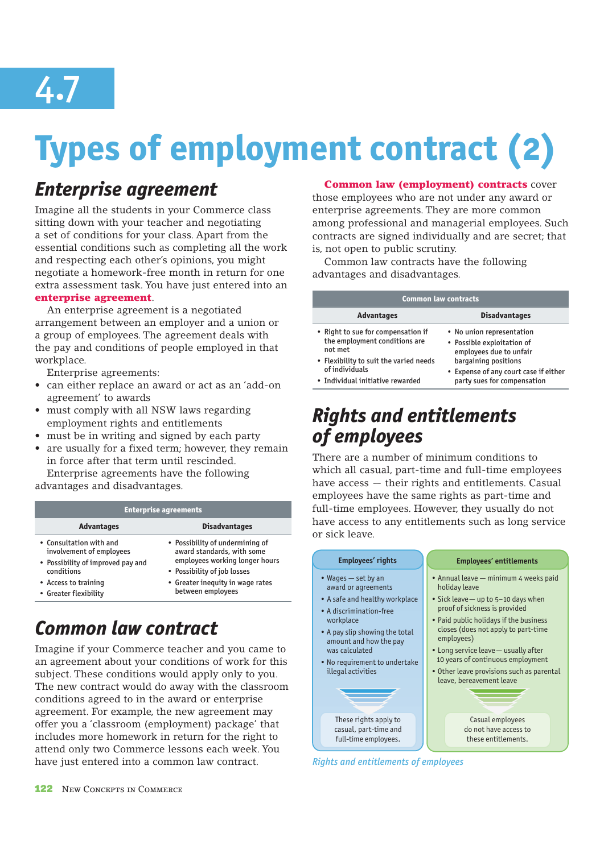

# **Types of employment contract (2)**

## *Enterprise agreement*

Imagine all the students in your Commerce class sitting down with your teacher and negotiating a set of conditions for your class. Apart from the essential conditions such as completing all the work and respecting each other's opinions, you might negotiate a homework-free month in return for one extra assessment task. You have just entered into an enterprise agreement.

An enterprise agreement is a negotiated arrangement between an employer and a union or a group of employees. The agreement deals with the pay and conditions of people employed in that workplace.

Enterprise agreements:

- can either replace an award or act as an 'add-on agreement' to awards
- must comply with all NSW laws regarding employment rights and entitlements
- must be in writing and signed by each party
- are usually for a fixed term; however, they remain in force after that term until rescinded.

Enterprise agreements have the following advantages and disadvantages.

| <b>Enterprise agreements</b>                                                                                                                            |                                                                                                                                                                                         |  |
|---------------------------------------------------------------------------------------------------------------------------------------------------------|-----------------------------------------------------------------------------------------------------------------------------------------------------------------------------------------|--|
| <b>Advantages</b>                                                                                                                                       | <b>Disadvantages</b>                                                                                                                                                                    |  |
| • Consultation with and<br>involvement of employees<br>• Possibility of improved pay and<br>conditions<br>• Access to training<br>• Greater flexibility | • Possibility of undermining of<br>award standards, with some<br>employees working longer hours<br>• Possibility of job losses<br>• Greater inequity in wage rates<br>between employees |  |

## *Common law contract*

Imagine if your Commerce teacher and you came to an agreement about your conditions of work for this subject. These conditions would apply only to you. The new contract would do away with the classroom conditions agreed to in the award or enterprise agreement. For example, the new agreement may offer you a 'classroom (employment) package' that includes more homework in return for the right to attend only two Commerce lessons each week. You have just entered into a common law contract.

## Common law (employment) contracts cover

those employees who are not under any award or enterprise agreements. They are more common among professional and managerial employees. Such contracts are signed individually and are secret; that is, not open to public scrutiny.

Common law contracts have the following advantages and disadvantages.

| <b>Common law contracts</b>                                                                                                                                                    |                                                                                                                                                                                    |
|--------------------------------------------------------------------------------------------------------------------------------------------------------------------------------|------------------------------------------------------------------------------------------------------------------------------------------------------------------------------------|
| <b>Advantages</b>                                                                                                                                                              | <b>Disadvantages</b>                                                                                                                                                               |
| • Right to sue for compensation if<br>the employment conditions are<br>not met<br>• Flexibility to suit the varied needs<br>of individuals<br>• Individual initiative rewarded | • No union representation<br>• Possible exploitation of<br>employees due to unfair<br>bargaining positions<br>• Expense of any court case if either<br>party sues for compensation |

## *Rights and entitlements of employees*

There are a number of minimum conditions to which all casual, part-time and full-time employees have access — their rights and entitlements. Casual employees have the same rights as part-time and full-time employees. However, they usually do not have access to any entitlements such as long service or sick leave.



*Rights and entitlements of employees*

## 122 New CONCEPTS IN COMMERCE